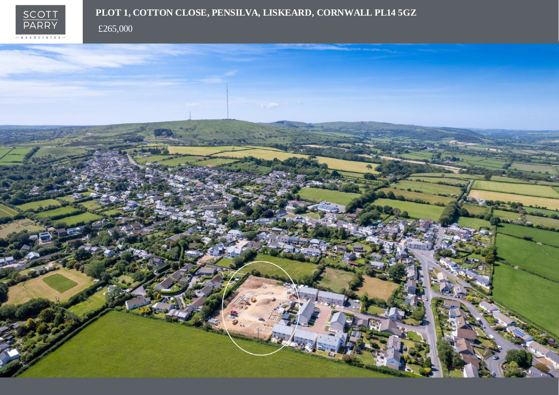

# PLOT 1, COTTON CLOSE, PENSILVA, LISKEARD, CORNWALL PL14 5GZ

£265,000

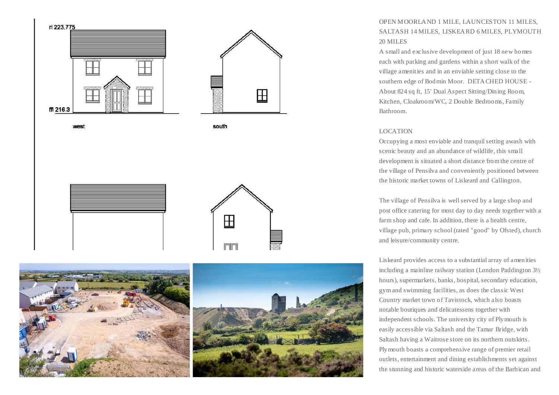



## OPEN MOORLAND 1 MILE, LAUNCESTON 11 MILES, SALTASH 14 MILES, LISKEARD 6 MILES, PLYMOUTH 20 MILES

A small and exclusive development of just 18 new homes each with parking and gardens within a short walk of the village amenities and in an enviable setting close to the southern edge of Bodmin Moor. DETACHED HOUSE - About 824 sq ft, 15' Dual Aspect Sitting/Dining Room, Kitchen, Cloakroom/WC, 2 Double Bedrooms, Family Bathroom.

#### LOCATION

Occupying a most enviable and tranquil setting awash with scenic beauty and an abundance of wildlife, this small development is situated a short distance from the centre of the village of Pensilva and conveniently positioned between the historic market towns of Liskeard and Callington.

The village of Pensilva is well served by a large shop and post office catering for most day to day needs together with a farm shop and cafe. In addition, there is a health centre, village pub, primary school (rated "good" by Ofsted), church and leisure/community centre.

Liskeard provides access to a substantial array of amenities including a mainline railway station (London Paddington 3½ hours), supermarkets, banks, hospital, secondary education, gym and swimming facilities, as does the classic West Country market town of Tavistock, which also boasts notable boutiques and delicatessens together with independent schools. The university city of Plymouth is easily accessible via Saltash and the Tamar Bridge, with Saltash having a Waitrose store on its northern outskirts. Plymouth boasts a comprehensive range of premier retail outlets, entertainment and dining establishments set against the stunning and historic waterside areas of the Barbican and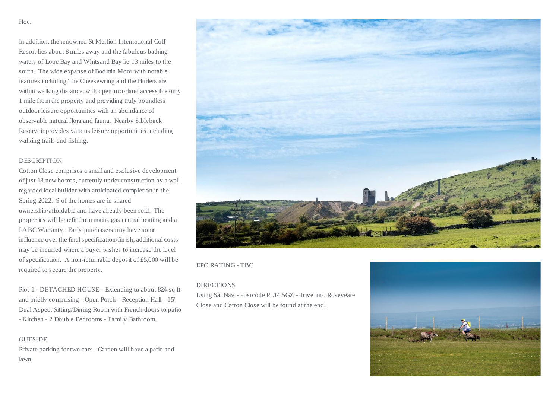Hoe.

In addition, the renowned St Mellion International Golf Resort lies about 8 miles away and the fabulous bathing waters of Looe Bay and Whitsand Bay lie 13 miles to the south. The wide expanse of Bodmin Moor with notable features including The Cheesewring and the Hurlers are within walking distance, with open moorland accessible only 1 mile from the property and providing truly boundless outdoor leisure opportunities with an abundance of observable natural flora and fauna. Nearby Siblyback Reservoir provides various leisure opportunities including walking trails and fishing.

#### **DESCRIPTION**

Cotton Close comprises a small and exclusive development of just 18 new homes, currently under construction by a well regarded local builder with anticipated completion in the Spring 2022. 9 of the homes are in shared ownership/affordable and have already been sold. The properties will benefit from mains gas central heating and a LABC Warranty. Early purchasers may have some influence over the final specification/finish, additional costs may be incurred where a buyer wishes to increase the level of specification. A non-returnable deposit of £5,000 will be required to secure the property.

Plot 1 - DETACHED HOUSE - Extending to about 824 sq ft and briefly comprising - Open Porch - Reception Hall - 15' Dual Aspect Sitting/Dining Room with French doors to patio - Kitchen - 2 Double Bedrooms - Family Bathroom.

#### **OUTSIDE**

Private parking for two cars. Garden will have a patio and lawn.



#### EPC RATING - TBC

#### DIRECTIONS

Using Sat Nav - Postcode PL14 5GZ - drive into Roseveare Close and Cotton Close will be found at the end.